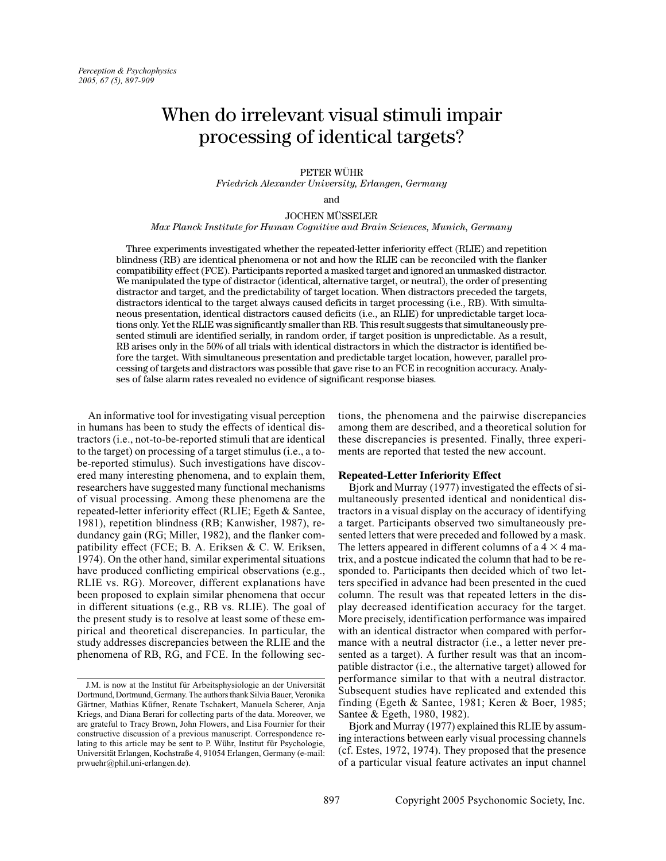# When do irrelevant visual stimuli impair processing of identical targets?

PETER WÜHR

Friedrich Alexander University, Erlangen, Germany

and

**JOCHEN MÜSSELER** 

Max Planck Institute for Human Cognitive and Brain Sciences, Munich, Germany

Three experiments investigated whether the repeated-letter inferiority effect (RLIE) and repetition blindness (RB) are identical phenomena or not and how the RLIE can be reconciled with the flanker compatibility effect (FCE). Participants reported a masked target and ignored an unmasked distractor. We manipulated the type of distractor (identical, alternative target, or neutral), the order of presenting distractor and target, and the predictability of target location. When distractors preceded the targets, distractors identical to the target always caused deficits in target processing (i.e., RB). With simultaneous presentation, identical distractors caused deficits (i.e., an RLIE) for unpredictable target locations only. Yet the RLIE was significantly smaller than RB. This result suggests that simultaneously presented stimuli are identified serially, in random order, if target position is unpredictable. As a result, RB arises only in the 50% of all trials with identical distractors in which the distractor is identified before the target. With simultaneous presentation and predictable target location, however, parallel processing of targets and distractors was possible that gave rise to an FCE in recognition accuracy. Analyses of false alarm rates revealed no evidence of significant response biases.

An informative tool for investigating visual perception in humans has been to study the effects of identical distractors (i.e., not-to-be-reported stimuli that are identical to the target) on processing of a target stimulus (i.e., a tobe-reported stimulus). Such investigations have discovered many interesting phenomena, and to explain them, researchers have suggested many functional mechanisms of visual processing. Among these phenomena are the repeated-letter inferiority effect (RLIE; Egeth & Santee, 1981), repetition blindness (RB; Kanwisher, 1987), redundancy gain (RG; Miller, 1982), and the flanker compatibility effect (FCE; B. A. Eriksen & C. W. Eriksen, 1974). On the other hand, similar experimental situations have produced conflicting empirical observations (e.g., RLIE vs. RG). Moreover, different explanations have been proposed to explain similar phenomena that occur in different situations (e.g., RB vs. RLIE). The goal of the present study is to resolve at least some of these empirical and theoretical discrepancies. In particular, the study addresses discrepancies between the RLIE and the phenomena of RB, RG, and FCE. In the following sections, the phenomena and the pairwise discrepancies among them are described, and a theoretical solution for these discrepancies is presented. Finally, three experiments are reported that tested the new account.

## **Repeated-Letter Inferiority Effect**

Bjork and Murray (1977) investigated the effects of simultaneously presented identical and nonidentical distractors in a visual display on the accuracy of identifying a target. Participants observed two simultaneously presented letters that were preceded and followed by a mask. The letters appeared in different columns of a  $4 \times 4$  matrix, and a postcue indicated the column that had to be responded to. Participants then decided which of two letters specified in advance had been presented in the cued column. The result was that repeated letters in the display decreased identification accuracy for the target. More precisely, identification performance was impaired with an identical distractor when compared with performance with a neutral distractor (*i.e.*, a letter never presented as a target). A further result was that an incompatible distractor (i.e., the alternative target) allowed for performance similar to that with a neutral distractor. Subsequent studies have replicated and extended this finding (Egeth & Santee, 1981; Keren & Boer, 1985; Santee & Egeth, 1980, 1982).

Bjork and Murray (1977) explained this RLIE by assuming interactions between early visual processing channels (cf. Estes, 1972, 1974). They proposed that the presence of a particular visual feature activates an input channel

J.M. is now at the Institut für Arbeitsphysiologie an der Universität Dortmund, Dortmund, Germany. The authors thank Silvia Bauer, Veronika Gärtner, Mathias Küfner, Renate Tschakert, Manuela Scherer, Anja Kriegs, and Diana Berari for collecting parts of the data. Moreover, we are grateful to Tracy Brown, John Flowers, and Lisa Fournier for their constructive discussion of a previous manuscript. Correspondence relating to this article may be sent to P. Wühr, Institut für Psychologie, Universität Erlangen, Kochstraße 4, 91054 Erlangen, Germany (e-mail: prwuehr@phil.uni-erlangen.de).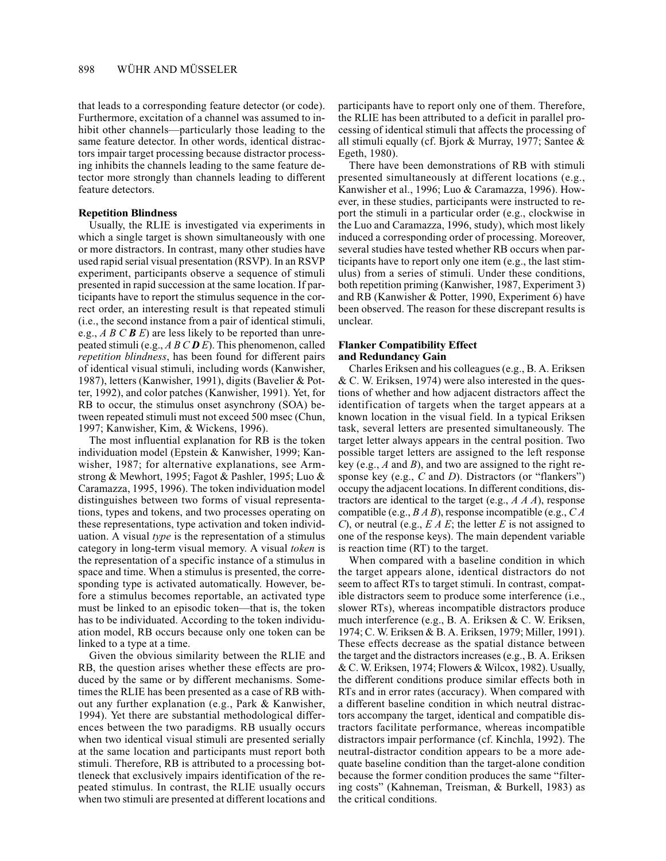that leads to a corresponding feature detector (or code). Furthermore, excitation of a channel was assumed to inhibit other channels—particularly those leading to the same feature detector. In other words, identical distractors impair target processing because distractor processing inhibits the channels leading to the same feature detector more strongly than channels leading to different feature detectors.

# **Repetition Blindness**

Usually, the RLIE is investigated via experiments in which a single target is shown simultaneously with one or more distractors. In contrast, many other studies have used rapid serial visual presentation (RSVP). In an RSVP experiment, participants observe a sequence of stimuli presented in rapid succession at the same location. If participants have to report the stimulus sequence in the correct order, an interesting result is that repeated stimuli (i.e., the second instance from a pair of identical stimuli, e.g., A B C B E) are less likely to be reported than unrepeated stimuli (e.g.,  $A B C D E$ ). This phenomenon, called repetition blindness, has been found for different pairs of identical visual stimuli, including words (Kanwisher, 1987), letters (Kanwisher, 1991), digits (Bavelier & Potter, 1992), and color patches (Kanwisher, 1991). Yet, for RB to occur, the stimulus onset asynchrony (SOA) between repeated stimuli must not exceed 500 msec (Chun, 1997; Kanwisher, Kim, & Wickens, 1996).

The most influential explanation for RB is the token individuation model (Epstein & Kanwisher, 1999; Kanwisher, 1987; for alternative explanations, see Armstrong & Mewhort, 1995; Fagot & Pashler, 1995; Luo & Caramazza, 1995, 1996). The token individuation model distinguishes between two forms of visual representations, types and tokens, and two processes operating on these representations, type activation and token individuation. A visual *type* is the representation of a stimulus category in long-term visual memory. A visual token is the representation of a specific instance of a stimulus in space and time. When a stimulus is presented, the corresponding type is activated automatically. However, before a stimulus becomes reportable, an activated type must be linked to an episodic token—that is, the token has to be individuated. According to the token individuation model, RB occurs because only one token can be linked to a type at a time.

Given the obvious similarity between the RLIE and RB, the question arises whether these effects are produced by the same or by different mechanisms. Sometimes the RLIE has been presented as a case of RB without any further explanation (e.g., Park & Kanwisher, 1994). Yet there are substantial methodological differences between the two paradigms. RB usually occurs when two identical visual stimuli are presented serially at the same location and participants must report both stimuli. Therefore, RB is attributed to a processing bottleneck that exclusively impairs identification of the repeated stimulus. In contrast, the RLIE usually occurs when two stimuli are presented at different locations and participants have to report only one of them. Therefore, the RLIE has been attributed to a deficit in parallel processing of identical stimuli that affects the processing of all stimuli equally (cf. Bjork & Murray, 1977; Santee & Egeth, 1980).

There have been demonstrations of RB with stimuli presented simultaneously at different locations (e.g., Kanwisher et al., 1996; Luo & Caramazza, 1996). However, in these studies, participants were instructed to report the stimuli in a particular order (e.g., clockwise in the Luo and Caramazza, 1996, study), which most likely induced a corresponding order of processing. Moreover, several studies have tested whether RB occurs when participants have to report only one item (e.g., the last stimulus) from a series of stimuli. Under these conditions, both repetition priming (Kanwisher, 1987, Experiment 3) and RB (Kanwisher & Potter, 1990, Experiment 6) have been observed. The reason for these discrepant results is unclear.

# **Flanker Compatibility Effect** and Redundancy Gain

Charles Eriksen and his colleagues (e.g., B. A. Eriksen & C. W. Eriksen, 1974) were also interested in the questions of whether and how adjacent distractors affect the identification of targets when the target appears at a known location in the visual field. In a typical Eriksen task, several letters are presented simultaneously. The target letter always appears in the central position. Two possible target letters are assigned to the left response key (e.g.,  $A$  and  $B$ ), and two are assigned to the right response key (e.g., C and D). Distractors (or "flankers") occupy the adjacent locations. In different conditions, distractors are identical to the target (e.g.,  $A \, A \, A$ ), response compatible (e.g.,  $B \land B$ ), response incompatible (e.g.,  $C \land A$ C), or neutral (e.g.,  $E A E$ ; the letter  $E$  is not assigned to one of the response keys). The main dependent variable is reaction time (RT) to the target.

When compared with a baseline condition in which the target appears alone, identical distractors do not seem to affect RTs to target stimuli. In contrast, compatible distractors seem to produce some interference (i.e., slower RTs), whereas incompatible distractors produce much interference (e.g., B. A. Eriksen & C. W. Eriksen, 1974; C. W. Eriksen & B. A. Eriksen, 1979; Miller, 1991). These effects decrease as the spatial distance between the target and the distractors increases (e.g., B. A. Eriksen & C. W. Eriksen, 1974; Flowers & Wilcox, 1982). Usually, the different conditions produce similar effects both in RTs and in error rates (accuracy). When compared with a different baseline condition in which neutral distractors accompany the target, identical and compatible distractors facilitate performance, whereas incompatible distractors impair performance (cf. Kinchla, 1992). The neutral-distractor condition appears to be a more adequate baseline condition than the target-alone condition because the former condition produces the same "filtering costs" (Kahneman, Treisman, & Burkell, 1983) as the critical conditions.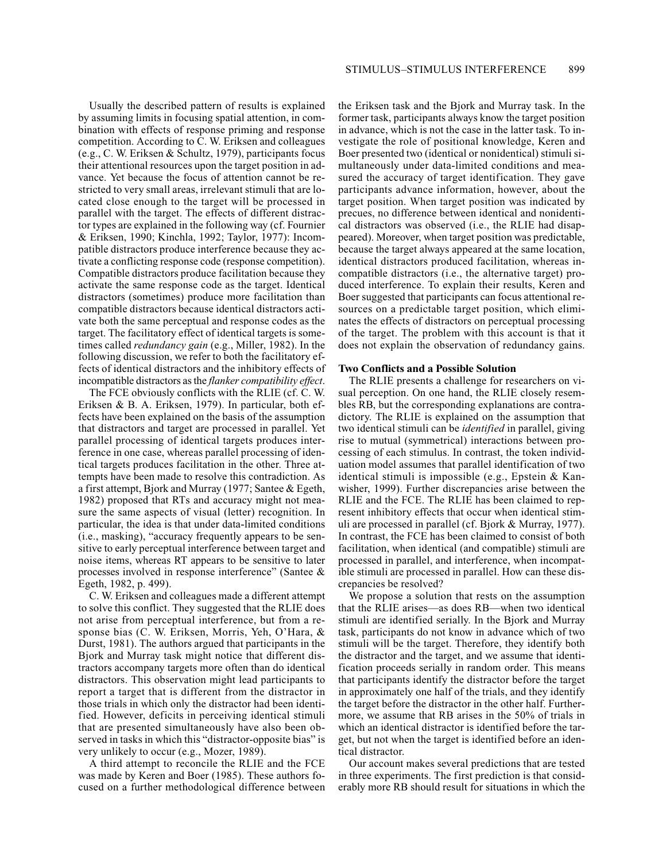Usually the described pattern of results is explained by assuming limits in focusing spatial attention, in combination with effects of response priming and response competition. According to C. W. Eriksen and colleagues (e.g., C. W. Eriksen & Schultz, 1979), participants focus their attentional resources upon the target position in advance. Yet because the focus of attention cannot be restricted to very small areas, irrelevant stimuli that are located close enough to the target will be processed in parallel with the target. The effects of different distractor types are explained in the following way (cf. Fournier & Eriksen, 1990; Kinchla, 1992; Taylor, 1977): Incompatible distractors produce interference because they activate a conflicting response code (response competition). Compatible distractors produce facilitation because they activate the same response code as the target. Identical distractors (sometimes) produce more facilitation than compatible distractors because identical distractors activate both the same perceptual and response codes as the target. The facilitatory effect of identical targets is sometimes called *redundancy gain* (e.g., Miller, 1982). In the following discussion, we refer to both the facilitatory effects of identical distractors and the inhibitory effects of incompatible distractors as the flanker compatibility effect.

The FCE obviously conflicts with the RLIE (cf. C. W. Eriksen & B. A. Eriksen, 1979). In particular, both effects have been explained on the basis of the assumption that distractors and target are processed in parallel. Yet parallel processing of identical targets produces interference in one case, whereas parallel processing of identical targets produces facilitation in the other. Three attempts have been made to resolve this contradiction. As a first attempt, Bjork and Murray (1977; Santee & Egeth, 1982) proposed that RTs and accuracy might not measure the same aspects of visual (letter) recognition. In particular, the idea is that under data-limited conditions (*i.e.*, masking), "accuracy frequently appears to be sensitive to early perceptual interference between target and noise items, whereas RT appears to be sensitive to later processes involved in response interference" (Santee & Egeth, 1982, p. 499).

C. W. Eriksen and colleagues made a different attempt to solve this conflict. They suggested that the RLIE does not arise from perceptual interference, but from a response bias (C. W. Eriksen, Morris, Yeh, O'Hara, & Durst, 1981). The authors argued that participants in the Bjork and Murray task might notice that different distractors accompany targets more often than do identical distractors. This observation might lead participants to report a target that is different from the distractor in those trials in which only the distractor had been identified. However, deficits in perceiving identical stimuli that are presented simultaneously have also been observed in tasks in which this "distractor-opposite bias" is very unlikely to occur (e.g., Mozer, 1989).

A third attempt to reconcile the RLIE and the FCE was made by Keren and Boer (1985). These authors focused on a further methodological difference between the Eriksen task and the Bjork and Murray task. In the former task, participants always know the target position in advance, which is not the case in the latter task. To investigate the role of positional knowledge, Keren and Boer presented two (identical or nonidentical) stimuli simultaneously under data-limited conditions and measured the accuracy of target identification. They gave participants advance information, however, about the target position. When target position was indicated by precues, no difference between identical and nonidentical distractors was observed (i.e., the RLIE had disappeared). Moreover, when target position was predictable, because the target always appeared at the same location, identical distractors produced facilitation, whereas incompatible distractors (i.e., the alternative target) produced interference. To explain their results, Keren and Boer suggested that participants can focus attentional resources on a predictable target position, which eliminates the effects of distractors on perceptual processing of the target. The problem with this account is that it does not explain the observation of redundancy gains.

## **Two Conflicts and a Possible Solution**

The RLIE presents a challenge for researchers on visual perception. On one hand, the RLIE closely resembles RB, but the corresponding explanations are contradictory. The RLIE is explained on the assumption that two identical stimuli can be *identified* in parallel, giving rise to mutual (symmetrical) interactions between processing of each stimulus. In contrast, the token individuation model assumes that parallel identification of two identical stimuli is impossible (e.g., Epstein  $& Kan$ wisher, 1999). Further discrepancies arise between the RLIE and the FCE. The RLIE has been claimed to represent inhibitory effects that occur when identical stimuli are processed in parallel (cf. Bjork & Murray, 1977). In contrast, the FCE has been claimed to consist of both facilitation, when identical (and compatible) stimuli are processed in parallel, and interference, when incompatible stimuli are processed in parallel. How can these discrepancies be resolved?

We propose a solution that rests on the assumption that the RLIE arises—as does RB—when two identical stimuli are identified serially. In the Bjork and Murray task, participants do not know in advance which of two stimuli will be the target. Therefore, they identify both the distractor and the target, and we assume that identification proceeds serially in random order. This means that participants identify the distractor before the target in approximately one half of the trials, and they identify the target before the distractor in the other half. Furthermore, we assume that RB arises in the 50% of trials in which an identical distractor is identified before the target, but not when the target is identified before an identical distractor.

Our account makes several predictions that are tested in three experiments. The first prediction is that considerably more RB should result for situations in which the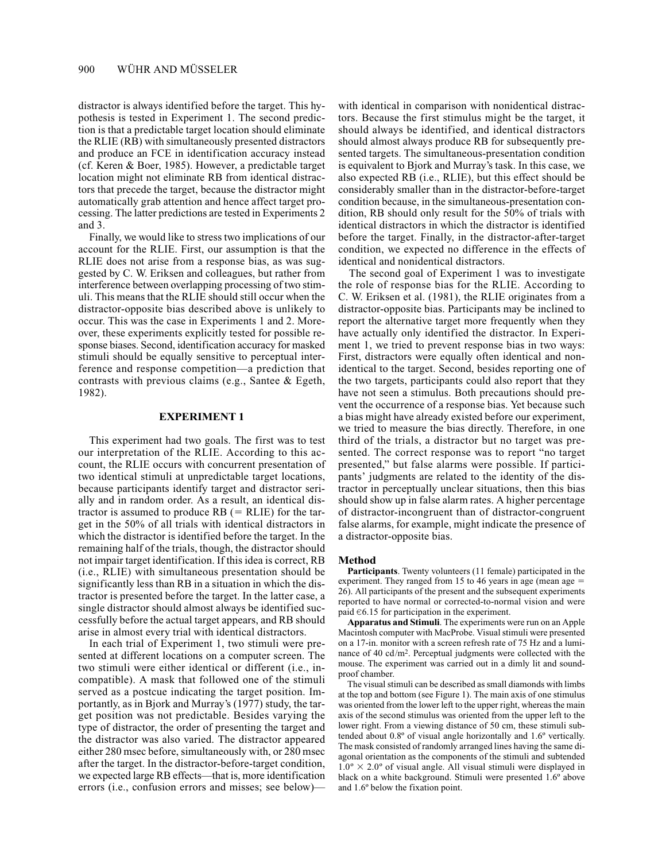distractor is always identified before the target. This hypothesis is tested in Experiment 1. The second prediction is that a predictable target location should eliminate the RLIE (RB) with simultaneously presented distractors and produce an FCE in identification accuracy instead (cf. Keren & Boer, 1985). However, a predictable target location might not eliminate RB from identical distractors that precede the target, because the distractor might automatically grab attention and hence affect target processing. The latter predictions are tested in Experiments 2 and 3.

Finally, we would like to stress two implications of our account for the RLIE. First, our assumption is that the RLIE does not arise from a response bias, as was suggested by C. W. Eriksen and colleagues, but rather from interference between overlapping processing of two stimuli. This means that the RLIE should still occur when the distractor-opposite bias described above is unlikely to occur. This was the case in Experiments 1 and 2. Moreover, these experiments explicitly tested for possible response biases. Second, identification accuracy for masked stimuli should be equally sensitive to perceptual interference and response competition—a prediction that contrasts with previous claims (e.g., Santee & Egeth, 1982).

# **EXPERIMENT 1**

This experiment had two goals. The first was to test our interpretation of the RLIE. According to this account, the RLIE occurs with concurrent presentation of two identical stimuli at unpredictable target locations, because participants identify target and distractor serially and in random order. As a result, an identical distractor is assumed to produce  $RB (= RLIE)$  for the target in the 50% of all trials with identical distractors in which the distractor is identified before the target. In the remaining half of the trials, though, the distractor should not impair target identification. If this idea is correct, RB (*i.e.*, RLIE) with simultaneous presentation should be significantly less than RB in a situation in which the distractor is presented before the target. In the latter case, a single distractor should almost always be identified successfully before the actual target appears, and RB should arise in almost every trial with identical distractors.

In each trial of Experiment 1, two stimuli were presented at different locations on a computer screen. The two stimuli were either identical or different (*i.e.*, incompatible). A mask that followed one of the stimuli served as a postcue indicating the target position. Importantly, as in Bjork and Murray's (1977) study, the target position was not predictable. Besides varying the type of distractor, the order of presenting the target and the distractor was also varied. The distractor appeared either 280 msec before, simultaneously with, or 280 msec after the target. In the distractor-before-target condition, we expected large RB effects—that is, more identification errors (*i.e.*, confusion errors and misses; see below)—

with identical in comparison with nonidentical distractors. Because the first stimulus might be the target, it should always be identified, and identical distractors should almost always produce RB for subsequently presented targets. The simultaneous-presentation condition is equivalent to Bjork and Murray's task. In this case, we also expected RB (i.e., RLIE), but this effect should be considerably smaller than in the distractor-before-target condition because, in the simultaneous-presentation condition, RB should only result for the 50% of trials with identical distractors in which the distractor is identified before the target. Finally, in the distractor-after-target condition, we expected no difference in the effects of identical and nonidentical distractors.

The second goal of Experiment 1 was to investigate the role of response bias for the RLIE. According to C. W. Eriksen et al. (1981), the RLIE originates from a distractor-opposite bias. Participants may be inclined to report the alternative target more frequently when they have actually only identified the distractor. In Experiment 1, we tried to prevent response bias in two ways: First, distractors were equally often identical and nonidentical to the target. Second, besides reporting one of the two targets, participants could also report that they have not seen a stimulus. Both precautions should prevent the occurrence of a response bias. Yet because such a bias might have already existed before our experiment, we tried to measure the bias directly. Therefore, in one third of the trials, a distractor but no target was presented. The correct response was to report "no target presented," but false alarms were possible. If participants' judgments are related to the identity of the distractor in perceptually unclear situations, then this bias should show up in false alarm rates. A higher percentage of distractor-incongruent than of distractor-congruent false alarms, for example, might indicate the presence of a distractor-opposite bias.

## **Method**

**Participants.** Twenty volunteers (11 female) participated in the experiment. They ranged from 15 to 46 years in age (mean age  $=$ 26). All participants of the present and the subsequent experiments reported to have normal or corrected-to-normal vision and were paid  $\in 6.15$  for participation in the experiment.

Apparatus and Stimuli. The experiments were run on an Apple Macintosh computer with MacProbe. Visual stimuli were presented on a 17-in. monitor with a screen refresh rate of 75 Hz and a luminance of 40 cd/m<sup>2</sup>. Perceptual judgments were collected with the mouse. The experiment was carried out in a dimly lit and soundproof chamber.

The visual stimuli can be described as small diamonds with limbs at the top and bottom (see Figure 1). The main axis of one stimulus was oriented from the lower left to the upper right, whereas the main axis of the second stimulus was oriented from the upper left to the lower right. From a viewing distance of 50 cm, these stimuli subtended about 0.8° of visual angle horizontally and 1.6° vertically. The mask consisted of randomly arranged lines having the same diagonal orientation as the components of the stimuli and subtended  $1.0^{\circ} \times 2.0^{\circ}$  of visual angle. All visual stimuli were displayed in black on a white background. Stimuli were presented 1.6° above and 1.6° below the fixation point.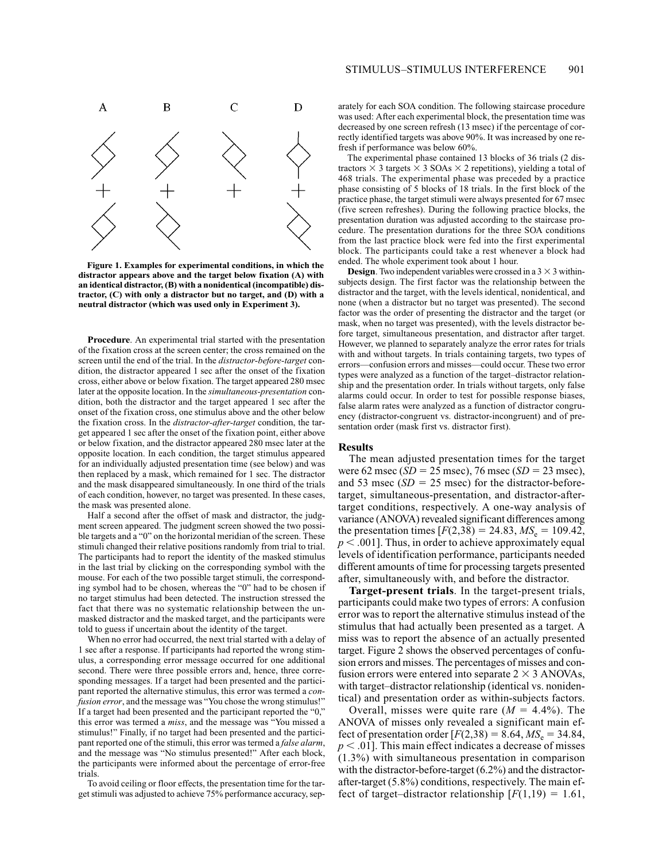

Figure 1. Examples for experimental conditions, in which the distractor appears above and the target below fixation (A) with an identical distractor, (B) with a nonidentical (incompatible) distractor, (C) with only a distractor but no target, and (D) with a neutral distractor (which was used only in Experiment 3).

Procedure. An experimental trial started with the presentation of the fixation cross at the screen center; the cross remained on the screen until the end of the trial. In the distractor-before-target condition, the distractor appeared 1 sec after the onset of the fixation cross, either above or below fixation. The target appeared 280 msec later at the opposite location. In the simultaneous-presentation condition, both the distractor and the target appeared 1 sec after the onset of the fixation cross, one stimulus above and the other below the fixation cross. In the *distractor-after-target* condition, the target appeared 1 sec after the onset of the fixation point, either above or below fixation, and the distractor appeared 280 msec later at the opposite location. In each condition, the target stimulus appeared for an individually adjusted presentation time (see below) and was then replaced by a mask, which remained for 1 sec. The distractor and the mask disappeared simultaneously. In one third of the trials of each condition, however, no target was presented. In these cases, the mask was presented alone.

Half a second after the offset of mask and distractor, the judgment screen appeared. The judgment screen showed the two possible targets and a "0" on the horizontal meridian of the screen. These stimuli changed their relative positions randomly from trial to trial. The participants had to report the identity of the masked stimulus in the last trial by clicking on the corresponding symbol with the mouse. For each of the two possible target stimuli, the corresponding symbol had to be chosen, whereas the "0" had to be chosen if no target stimulus had been detected. The instruction stressed the fact that there was no systematic relationship between the unmasked distractor and the masked target, and the participants were told to guess if uncertain about the identity of the target.

When no error had occurred, the next trial started with a delay of 1 sec after a response. If participants had reported the wrong stimulus, a corresponding error message occurred for one additional second. There were three possible errors and, hence, three corresponding messages. If a target had been presented and the participant reported the alternative stimulus, this error was termed a confusion error, and the message was "You chose the wrong stimulus!" If a target had been presented and the participant reported the "0," this error was termed a *miss*, and the message was "You missed a stimulus!" Finally, if no target had been presented and the participant reported one of the stimuli, this error was termed a false alarm, and the message was "No stimulus presented!" After each block, the participants were informed about the percentage of error-free trials.

To avoid ceiling or floor effects, the presentation time for the target stimuli was adjusted to achieve 75% performance accuracy, separately for each SOA condition. The following staircase procedure was used: After each experimental block, the presentation time was decreased by one screen refresh (13 msec) if the percentage of correctly identified targets was above 90%. It was increased by one refresh if performance was below 60%.

The experimental phase contained 13 blocks of 36 trials (2 distractors  $\times$  3 targets  $\times$  3 SOAs  $\times$  2 repetitions), yielding a total of 468 trials. The experimental phase was preceded by a practice phase consisting of 5 blocks of 18 trials. In the first block of the practice phase, the target stimuli were always presented for 67 msec (five screen refreshes). During the following practice blocks, the presentation duration was adjusted according to the staircase procedure. The presentation durations for the three SOA conditions from the last practice block were fed into the first experimental block. The participants could take a rest whenever a block had ended. The whole experiment took about 1 hour.

**Design.** Two independent variables were crossed in a  $3 \times 3$  withinsubjects design. The first factor was the relationship between the distractor and the target, with the levels identical, nonidentical, and none (when a distractor but no target was presented). The second factor was the order of presenting the distractor and the target (or mask, when no target was presented), with the levels distractor before target, simultaneous presentation, and distractor after target. However, we planned to separately analyze the error rates for trials with and without targets. In trials containing targets, two types of errors—confusion errors and misses—could occur. These two error types were analyzed as a function of the target-distractor relationship and the presentation order. In trials without targets, only false alarms could occur. In order to test for possible response biases, false alarm rates were analyzed as a function of distractor congruency (distractor-congruent vs. distractor-incongruent) and of presentation order (mask first vs. distractor first).

# **Results**

The mean adjusted presentation times for the target were 62 msec ( $SD = 25$  msec), 76 msec ( $SD = 23$  msec), and 53 msec  $(SD = 25$  msec) for the distractor-beforetarget, simultaneous-presentation, and distractor-aftertarget conditions, respectively. A one-way analysis of variance (ANOVA) revealed significant differences among the presentation times  $[F(2,38) = 24.83, MS_{0} = 109.42,$  $p < .001$ ]. Thus, in order to achieve approximately equal levels of identification performance, participants needed different amounts of time for processing targets presented after, simultaneously with, and before the distractor.

Target-present trials. In the target-present trials, participants could make two types of errors: A confusion error was to report the alternative stimulus instead of the stimulus that had actually been presented as a target. A miss was to report the absence of an actually presented target. Figure 2 shows the observed percentages of confusion errors and misses. The percentages of misses and confusion errors were entered into separate  $2 \times 3$  ANOVAs, with target-distractor relationship (identical vs. nonidentical) and presentation order as within-subjects factors.

Overall, misses were quite rare  $(M = 4.4\%)$ . The ANOVA of misses only revealed a significant main effect of presentation order  $[F(2,38) = 8.64, MS_e = 34.84,$  $p < .01$ ]. This main effect indicates a decrease of misses  $(1.3\%)$  with simultaneous presentation in comparison with the distractor-before-target  $(6.2\%)$  and the distractorafter-target (5.8%) conditions, respectively. The main effect of target-distractor relationship  $[F(1,19) = 1.61]$ ,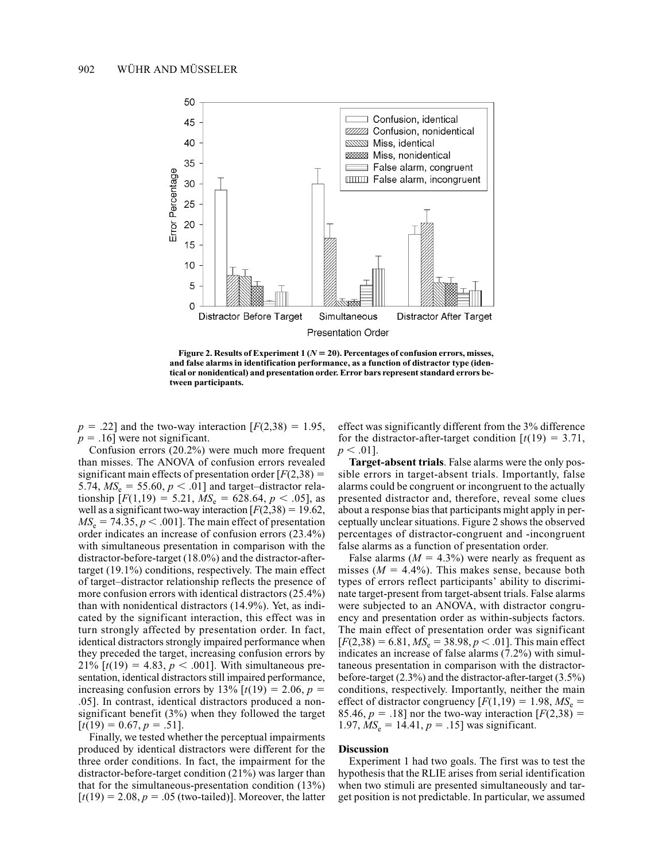

Figure 2. Results of Experiment 1 ( $N = 20$ ). Percentages of confusion errors, misses, and false alarms in identification performance, as a function of distractor type (identical or nonidentical) and presentation order. Error bars represent standard errors between participants.

 $p = .22$ ] and the two-way interaction [F(2,38) = 1.95,  $p = .16$ ] were not significant.

Confusion errors  $(20.2\%)$  were much more frequent than misses. The ANOVA of confusion errors revealed significant main effects of presentation order  $[F(2,38) =$ 5.74,  $MS_e = 55.60$ ,  $p < .01$ ] and target-distractor relationship  $[F(1,19) = 5.21, MS_e = 628.64, p < .05]$ , as well as a significant two-way interaction  $[F(2,38) = 19.62]$ ,  $MS_e = 74.35, p < .001$ . The main effect of presentation order indicates an increase of confusion errors (23.4%) with simultaneous presentation in comparison with the distractor-before-target (18.0%) and the distractor-aftertarget  $(19.1\%)$  conditions, respectively. The main effect of target-distractor relationship reflects the presence of more confusion errors with identical distractors (25.4%) than with nonidentical distractors (14.9%). Yet, as indicated by the significant interaction, this effect was in turn strongly affected by presentation order. In fact, identical distractors strongly impaired performance when they preceded the target, increasing confusion errors by 21%  $[t(19) = 4.83, p < .001]$ . With simultaneous presentation, identical distractors still impaired performance, increasing confusion errors by 13%  $[t(19) = 2.06, p =$ .05]. In contrast, identical distractors produced a nonsignificant benefit  $(3\%)$  when they followed the target  $[t(19) = 0.67, p = .51].$ 

Finally, we tested whether the perceptual impairments produced by identical distractors were different for the three order conditions. In fact, the impairment for the distractor-before-target condition  $(21\%)$  was larger than that for the simultaneous-presentation condition  $(13%)$  $[t(19) = 2.08, p = .05$  (two-tailed)]. Moreover, the latter effect was significantly different from the 3% difference for the distractor-after-target condition  $\lceil t(19) = 3.71$ ,  $p < .01$ ].

Target-absent trials. False alarms were the only possible errors in target-absent trials. Importantly, false alarms could be congruent or incongruent to the actually presented distractor and, therefore, reveal some clues about a response bias that participants might apply in perceptually unclear situations. Figure 2 shows the observed percentages of distractor-congruent and -incongruent false alarms as a function of presentation order.

False alarms ( $M = 4.3\%$ ) were nearly as frequent as misses ( $M = 4.4\%$ ). This makes sense, because both types of errors reflect participants' ability to discriminate target-present from target-absent trials. False alarms were subjected to an ANOVA, with distractor congruency and presentation order as within-subjects factors. The main effect of presentation order was significant  $[F(2,38) = 6.81, MS_e = 38.98, p < .01]$ . This main effect indicates an increase of false alarms (7.2%) with simultaneous presentation in comparison with the distractorbefore-target  $(2.3\%)$  and the distractor-after-target  $(3.5\%)$ conditions, respectively. Importantly, neither the main effect of distractor congruency  $[F(1,19) = 1.98, MS_e =$ 85.46,  $p = .18$ ] nor the two-way interaction  $[F(2,38) =$ 1.97,  $MS_e = 14.41$ ,  $p = .15$ ] was significant.

# **Discussion**

Experiment 1 had two goals. The first was to test the hypothesis that the RLIE arises from serial identification when two stimuli are presented simultaneously and target position is not predictable. In particular, we assumed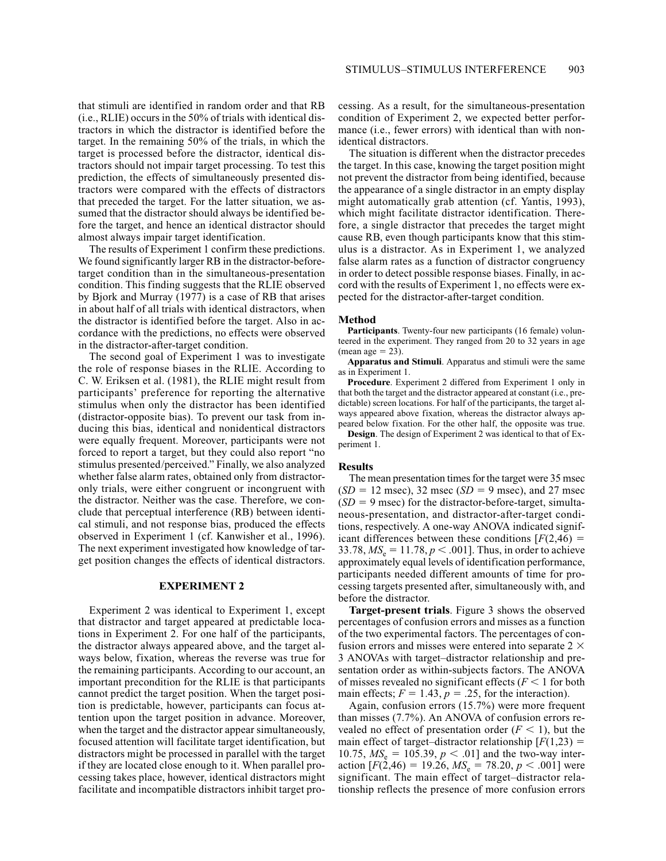that stimuli are identified in random order and that RB (i.e., RLIE) occurs in the 50% of trials with identical distractors in which the distractor is identified before the target. In the remaining 50% of the trials, in which the target is processed before the distractor, identical distractors should not impair target processing. To test this prediction, the effects of simultaneously presented distractors were compared with the effects of distractors that preceded the target. For the latter situation, we assumed that the distractor should always be identified before the target, and hence an identical distractor should almost always impair target identification.

The results of Experiment 1 confirm these predictions. We found significantly larger RB in the distractor-beforetarget condition than in the simultaneous-presentation condition. This finding suggests that the RLIE observed by Bjork and Murray (1977) is a case of RB that arises in about half of all trials with identical distractors, when the distractor is identified before the target. Also in accordance with the predictions, no effects were observed in the distractor-after-target condition.

The second goal of Experiment 1 was to investigate the role of response biases in the RLIE. According to C. W. Eriksen et al. (1981), the RLIE might result from participants' preference for reporting the alternative stimulus when only the distractor has been identified (distractor-opposite bias). To prevent our task from inducing this bias, identical and nonidentical distractors were equally frequent. Moreover, participants were not forced to report a target, but they could also report "no stimulus presented/perceived." Finally, we also analyzed whether false alarm rates, obtained only from distractoronly trials, were either congruent or incongruent with the distractor. Neither was the case. Therefore, we conclude that perceptual interference (RB) between identical stimuli, and not response bias, produced the effects observed in Experiment 1 (cf. Kanwisher et al., 1996). The next experiment investigated how knowledge of target position changes the effects of identical distractors.

# **EXPERIMENT 2**

Experiment 2 was identical to Experiment 1, except that distractor and target appeared at predictable locations in Experiment 2. For one half of the participants, the distractor always appeared above, and the target always below, fixation, whereas the reverse was true for the remaining participants. According to our account, an important precondition for the RLIE is that participants cannot predict the target position. When the target position is predictable, however, participants can focus attention upon the target position in advance. Moreover, when the target and the distractor appear simultaneously, focused attention will facilitate target identification, but distractors might be processed in parallel with the target if they are located close enough to it. When parallel processing takes place, however, identical distractors might facilitate and incompatible distractors inhibit target processing. As a result, for the simultaneous-presentation condition of Experiment 2, we expected better performance (*i.e.*, fewer errors) with identical than with nonidentical distractors.

The situation is different when the distractor precedes the target. In this case, knowing the target position might not prevent the distractor from being identified, because the appearance of a single distractor in an empty display might automatically grab attention (cf. Yantis, 1993), which might facilitate distractor identification. Therefore, a single distractor that precedes the target might cause RB, even though participants know that this stimulus is a distractor. As in Experiment 1, we analyzed false alarm rates as a function of distractor congruency in order to detect possible response biases. Finally, in accord with the results of Experiment 1, no effects were expected for the distractor-after-target condition.

#### **Method**

Participants. Twenty-four new participants (16 female) volunteered in the experiment. They ranged from 20 to 32 years in age (mean age  $= 23$ ).

Apparatus and Stimuli. Apparatus and stimuli were the same as in Experiment 1.

**Procedure.** Experiment 2 differed from Experiment 1 only in that both the target and the distractor appeared at constant (i.e., predictable) screen locations. For half of the participants, the target always appeared above fixation, whereas the distractor always appeared below fixation. For the other half, the opposite was true.

**Design.** The design of Experiment 2 was identical to that of Experiment 1.

## **Results**

The mean presentation times for the target were 35 msec  $(SD = 12$  msec), 32 msec  $(SD = 9$  msec), and 27 msec  $(SD = 9$  msec) for the distractor-before-target, simultaneous-presentation, and distractor-after-target conditions, respectively. A one-way ANOVA indicated significant differences between these conditions  $[F(2,46) =$ 33.78,  $MS_e = 11.78$ ,  $p < .001$ . Thus, in order to achieve approximately equal levels of identification performance, participants needed different amounts of time for processing targets presented after, simultaneously with, and before the distractor.

**Target-present trials.** Figure 3 shows the observed percentages of confusion errors and misses as a function of the two experimental factors. The percentages of confusion errors and misses were entered into separate 2  $\times$ 3 ANOVAs with target-distractor relationship and presentation order as within-subjects factors. The ANOVA of misses revealed no significant effects ( $F < 1$  for both main effects;  $F = 1.43$ ,  $p = .25$ , for the interaction).

Again, confusion errors  $(15.7%)$  were more frequent than misses  $(7.7\%)$ . An ANOVA of confusion errors revealed no effect of presentation order  $(F < 1)$ , but the main effect of target-distractor relationship  $[F(1,23) =$ 10.75,  $MS_e = 105.39, p < .01$ ] and the two-way interaction  $[F(2,46) = 19.26, MS_e = 78.20, p < .001]$  were significant. The main effect of target-distractor relationship reflects the presence of more confusion errors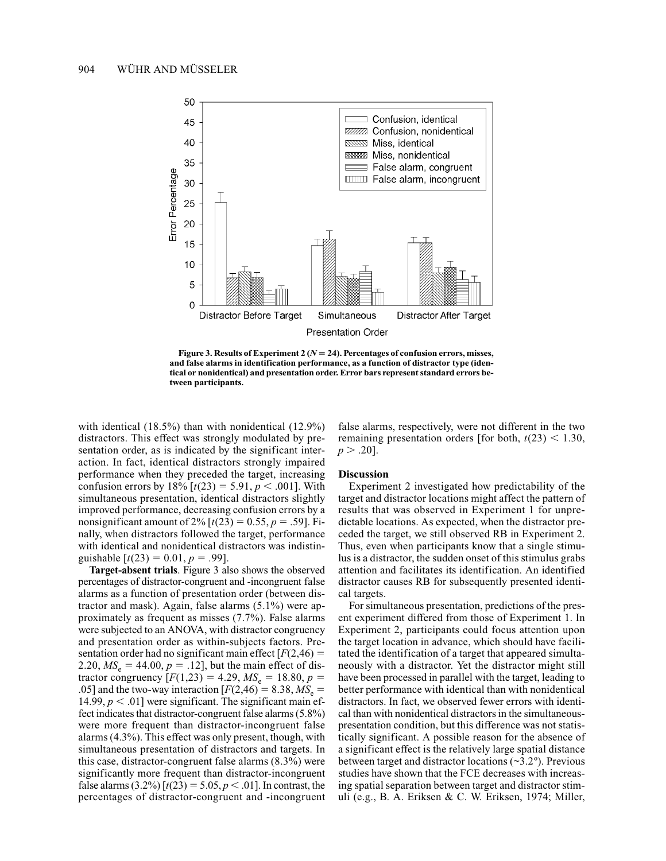

Figure 3. Results of Experiment 2 ( $N = 24$ ). Percentages of confusion errors, misses, and false alarms in identification performance, as a function of distractor type (identical or nonidentical) and presentation order. Error bars represent standard errors between participants.

with identical  $(18.5\%)$  than with nonidentical  $(12.9\%)$ distractors. This effect was strongly modulated by presentation order, as is indicated by the significant interaction. In fact, identical distractors strongly impaired performance when they preceded the target, increasing confusion errors by 18%  $[t(23) = 5.91, p < .001]$ . With simultaneous presentation, identical distractors slightly improved performance, decreasing confusion errors by a nonsignificant amount of 2%  $[t(23) = 0.55, p = .59]$ . Finally, when distractors followed the target, performance with identical and nonidentical distractors was indistinguishable  $[t(23) = 0.01, p = .99]$ .

Target-absent trials. Figure 3 also shows the observed percentages of distractor-congruent and -incongruent false alarms as a function of presentation order (between distractor and mask). Again, false alarms  $(5.1\%)$  were approximately as frequent as misses  $(7.7\%)$ . False alarms were subjected to an ANOVA, with distractor congruency and presentation order as within-subjects factors. Presentation order had no significant main effect  $[F(2,46) =$ 2.20,  $MS_e = 44.00$ ,  $p = .12$ , but the main effect of distractor congruency  $[F(1,23) = 4.29, MS_e = 18.80, p =$ .05] and the two-way interaction  $[F(2,46) = 8.38, MS_e =$ 14.99,  $p < .01$ ] were significant. The significant main effect indicates that distractor-congruent false alarms  $(5.8\%)$ were more frequent than distractor-incongruent false alarms (4.3%). This effect was only present, though, with simultaneous presentation of distractors and targets. In this case, distractor-congruent false alarms  $(8.3\%)$  were significantly more frequent than distractor-incongruent false alarms (3.2%)  $[t(23) = 5.05, p < .01]$ . In contrast, the percentages of distractor-congruent and -incongruent

false alarms, respectively, were not different in the two remaining presentation orders [for both,  $t(23) < 1.30$ ,  $p > .20$ ].

# **Discussion**

Experiment 2 investigated how predictability of the target and distractor locations might affect the pattern of results that was observed in Experiment 1 for unpredictable locations. As expected, when the distractor preceded the target, we still observed RB in Experiment 2. Thus, even when participants know that a single stimulus is a distractor, the sudden onset of this stimulus grabs attention and facilitates its identification. An identified distractor causes RB for subsequently presented identical targets.

For simultaneous presentation, predictions of the present experiment differed from those of Experiment 1. In Experiment 2, participants could focus attention upon the target location in advance, which should have facilitated the identification of a target that appeared simultaneously with a distractor. Yet the distractor might still have been processed in parallel with the target, leading to better performance with identical than with nonidentical distractors. In fact, we observed fewer errors with identical than with nonidentical distractors in the simultaneouspresentation condition, but this difference was not statistically significant. A possible reason for the absence of a significant effect is the relatively large spatial distance between target and distractor locations  $(\sim 3.2)$ <sup>o</sup>). Previous studies have shown that the FCE decreases with increasing spatial separation between target and distractor stimuli (e.g., B. A. Eriksen & C. W. Eriksen, 1974; Miller,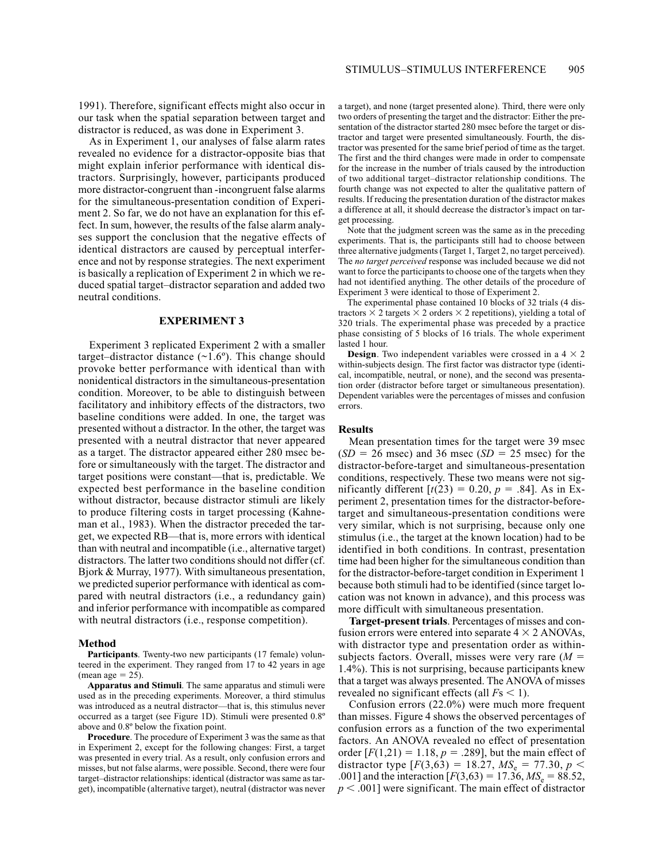1991). Therefore, significant effects might also occur in our task when the spatial separation between target and distractor is reduced, as was done in Experiment 3.

As in Experiment 1, our analyses of false alarm rates revealed no evidence for a distractor-opposite bias that might explain inferior performance with identical distractors. Surprisingly, however, participants produced more distractor-congruent than -incongruent false alarms for the simultaneous-presentation condition of Experiment 2. So far, we do not have an explanation for this effect. In sum, however, the results of the false alarm analyses support the conclusion that the negative effects of identical distractors are caused by perceptual interference and not by response strategies. The next experiment is basically a replication of Experiment 2 in which we reduced spatial target-distractor separation and added two neutral conditions.

# **EXPERIMENT 3**

Experiment 3 replicated Experiment 2 with a smaller target-distractor distance  $(\sim 1.6^{\circ})$ . This change should provoke better performance with identical than with nonidentical distractors in the simultaneous-presentation condition. Moreover, to be able to distinguish between facilitatory and inhibitory effects of the distractors, two baseline conditions were added. In one, the target was presented without a distractor. In the other, the target was presented with a neutral distractor that never appeared as a target. The distractor appeared either 280 msec before or simultaneously with the target. The distractor and target positions were constant—that is, predictable. We expected best performance in the baseline condition without distractor, because distractor stimuli are likely to produce filtering costs in target processing (Kahneman et al., 1983). When the distractor preceded the target, we expected RB—that is, more errors with identical than with neutral and incompatible (i.e., alternative target) distractors. The latter two conditions should not differ (cf. Bjork & Murray, 1977). With simultaneous presentation, we predicted superior performance with identical as compared with neutral distractors (i.e., a redundancy gain) and inferior performance with incompatible as compared with neutral distractors *(i.e., response competition)*.

# **Method**

Participants. Twenty-two new participants (17 female) volunteered in the experiment. They ranged from 17 to 42 years in age (mean age  $= 25$ ).

**Apparatus and Stimuli.** The same apparatus and stimuli were used as in the preceding experiments. Moreover, a third stimulus was introduced as a neutral distractor-that is, this stimulus never occurred as a target (see Figure 1D). Stimuli were presented 0.8° above and 0.8° below the fixation point.

Procedure. The procedure of Experiment 3 was the same as that in Experiment 2, except for the following changes: First, a target was presented in every trial. As a result, only confusion errors and misses, but not false alarms, were possible. Second, there were four target-distractor relationships: identical (distractor was same as target), incompatible (alternative target), neutral (distractor was never a target), and none (target presented alone). Third, there were only two orders of presenting the target and the distractor: Either the presentation of the distractor started 280 msec before the target or distractor and target were presented simultaneously. Fourth, the distractor was presented for the same brief period of time as the target. The first and the third changes were made in order to compensate for the increase in the number of trials caused by the introduction of two additional target-distractor relationship conditions. The fourth change was not expected to alter the qualitative pattern of results. If reducing the presentation duration of the distractor makes a difference at all, it should decrease the distractor's impact on target processing.

Note that the judgment screen was the same as in the preceding experiments. That is, the participants still had to choose between three alternative judgments (Target 1, Target 2, no target perceived). The no target perceived response was included because we did not want to force the participants to choose one of the targets when they had not identified anything. The other details of the procedure of Experiment 3 were identical to those of Experiment 2.

The experimental phase contained 10 blocks of 32 trials (4 distractors  $\times$  2 targets  $\times$  2 orders  $\times$  2 repetitions), yielding a total of 320 trials. The experimental phase was preceded by a practice phase consisting of 5 blocks of 16 trials. The whole experiment lasted 1 hour.

**Design.** Two independent variables were crossed in a  $4 \times 2$ within-subjects design. The first factor was distractor type (identical, incompatible, neutral, or none), and the second was presentation order (distractor before target or simultaneous presentation). Dependent variables were the percentages of misses and confusion errors.

# **Results**

Mean presentation times for the target were 39 msec  $(SD = 26$  msec) and 36 msec  $(SD = 25$  msec) for the distractor-before-target and simultaneous-presentation conditions, respectively. These two means were not significantly different  $[t(23) = 0.20, p = .84]$ . As in Experiment 2, presentation times for the distractor-beforetarget and simultaneous-presentation conditions were very similar, which is not surprising, because only one stimulus (*i.e.*, the target at the known location) had to be identified in both conditions. In contrast, presentation time had been higher for the simultaneous condition than for the distractor-before-target condition in Experiment 1 because both stimuli had to be identified (since target location was not known in advance), and this process was more difficult with simultaneous presentation.

Target-present trials. Percentages of misses and confusion errors were entered into separate  $4 \times 2$  ANOVAs, with distractor type and presentation order as withinsubjects factors. Overall, misses were very rare  $(M =$ 1.4%). This is not surprising, because participants knew that a target was always presented. The ANOVA of misses revealed no significant effects (all  $Fs < 1$ ).

Confusion errors  $(22.0\%)$  were much more frequent than misses. Figure 4 shows the observed percentages of confusion errors as a function of the two experimental factors. An ANOVA revealed no effect of presentation order  $[F(1,21) = 1.18, p = .289]$ , but the main effect of distractor type  $[F(3,63) = 18.27, MS_e = 77.30, p <$ .001] and the interaction  $[F(3,63) = 17.36, MS_e = 88.52,$  $p < .001$ ] were significant. The main effect of distractor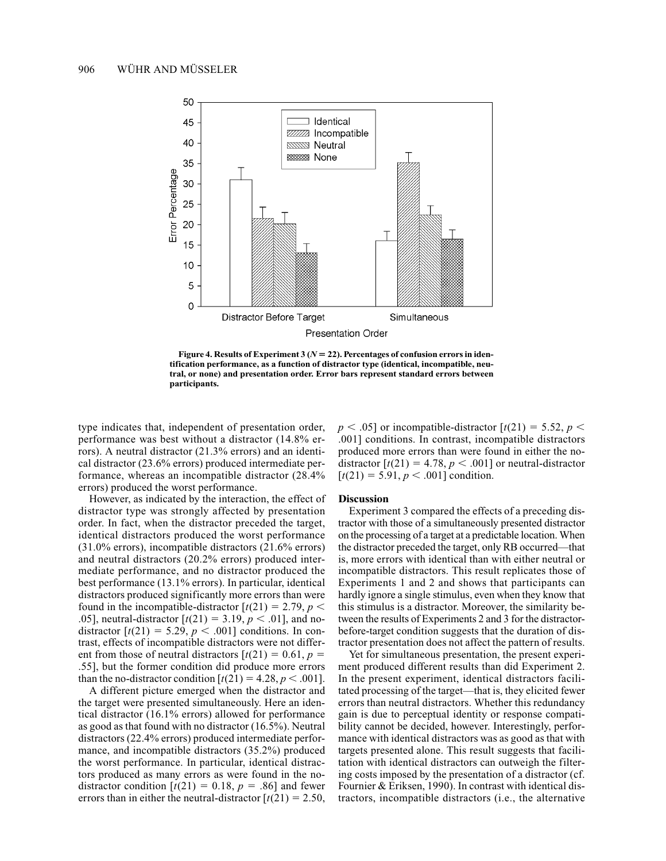

Figure 4. Results of Experiment 3 ( $N = 22$ ). Percentages of confusion errors in identification performance, as a function of distractor type (identical, incompatible, neutral, or none) and presentation order. Error bars represent standard errors between participants.

type indicates that, independent of presentation order, performance was best without a distractor (14.8% errors). A neutral distractor (21.3% errors) and an identical distractor (23.6% errors) produced intermediate performance, whereas an incompatible distractor (28.4% errors) produced the worst performance.

However, as indicated by the interaction, the effect of distractor type was strongly affected by presentation order. In fact, when the distractor preceded the target, identical distractors produced the worst performance  $(31.0\%$  errors), incompatible distractors  $(21.6\%$  errors) and neutral distractors (20.2% errors) produced intermediate performance, and no distractor produced the best performance (13.1% errors). In particular, identical distractors produced significantly more errors than were found in the incompatible-distractor  $[t(21) = 2.79, p <$ .05], neutral-distractor  $[t(21) = 3.19, p < .01]$ , and nodistractor  $[t(21) = 5.29, p < .001]$  conditions. In contrast, effects of incompatible distractors were not different from those of neutral distractors  $[t(21) = 0.61, p =$ .55], but the former condition did produce more errors than the no-distractor condition  $\lbrack t(21) = 4.28, p < .001 \rbrack$ .

A different picture emerged when the distractor and the target were presented simultaneously. Here an identical distractor (16.1% errors) allowed for performance as good as that found with no distractor  $(16.5\%)$ . Neutral distractors (22.4% errors) produced intermediate performance, and incompatible distractors  $(35.2\%)$  produced the worst performance. In particular, identical distractors produced as many errors as were found in the nodistractor condition  $[t(21) = 0.18, p = .86]$  and fewer errors than in either the neutral-distractor  $[t(21) = 2.50]$ ,

 $p < .05$  or incompatible-distractor  $\lceil t(21) = 5.52, p <$ .001] conditions. In contrast, incompatible distractors produced more errors than were found in either the nodistractor  $[t(21) = 4.78, p < .001]$  or neutral-distractor  $[t(21) = 5.91, p < .001]$  condition.

## **Discussion**

Experiment 3 compared the effects of a preceding distractor with those of a simultaneously presented distractor on the processing of a target at a predictable location. When the distractor preceded the target, only RB occurred—that is, more errors with identical than with either neutral or incompatible distractors. This result replicates those of Experiments 1 and 2 and shows that participants can hardly ignore a single stimulus, even when they know that this stimulus is a distractor. Moreover, the similarity between the results of Experiments 2 and 3 for the distractorbefore-target condition suggests that the duration of distractor presentation does not affect the pattern of results.

Yet for simultaneous presentation, the present experiment produced different results than did Experiment 2. In the present experiment, identical distractors facilitated processing of the target—that is, they elicited fewer errors than neutral distractors. Whether this redundancy gain is due to perceptual identity or response compatibility cannot be decided, however. Interestingly, performance with identical distractors was as good as that with targets presented alone. This result suggests that facilitation with identical distractors can outweigh the filtering costs imposed by the presentation of a distractor (cf. Fournier & Eriksen, 1990). In contrast with identical distractors, incompatible distractors (i.e., the alternative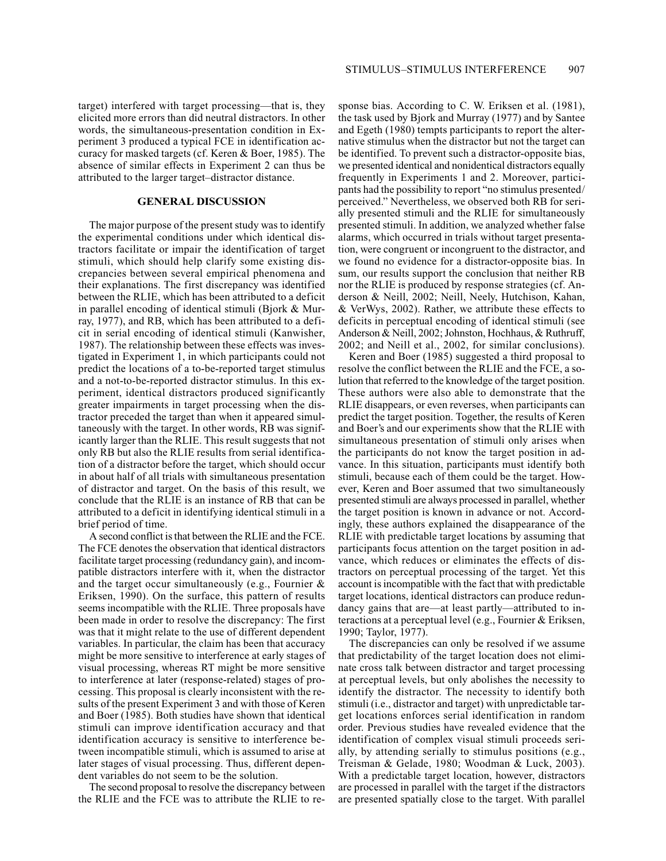target) interfered with target processing—that is, they elicited more errors than did neutral distractors. In other words, the simultaneous-presentation condition in Experiment 3 produced a typical FCE in identification accuracy for masked targets (cf. Keren & Boer, 1985). The absence of similar effects in Experiment 2 can thus be attributed to the larger target-distractor distance.

# **GENERAL DISCUSSION**

The major purpose of the present study was to identify the experimental conditions under which identical distractors facilitate or impair the identification of target stimuli, which should help clarify some existing discrepancies between several empirical phenomena and their explanations. The first discrepancy was identified between the RLIE, which has been attributed to a deficit in parallel encoding of identical stimuli (Bjork & Murray, 1977), and RB, which has been attributed to a deficit in serial encoding of identical stimuli (Kanwisher, 1987). The relationship between these effects was investigated in Experiment 1, in which participants could not predict the locations of a to-be-reported target stimulus and a not-to-be-reported distractor stimulus. In this experiment, identical distractors produced significantly greater impairments in target processing when the distractor preceded the target than when it appeared simultaneously with the target. In other words, RB was significantly larger than the RLIE. This result suggests that not only RB but also the RLIE results from serial identification of a distractor before the target, which should occur in about half of all trials with simultaneous presentation of distractor and target. On the basis of this result, we conclude that the RLIE is an instance of RB that can be attributed to a deficit in identifying identical stimuli in a brief period of time.

A second conflict is that between the RLIE and the FCE. The FCE denotes the observation that identical distractors facilitate target processing (redundancy gain), and incompatible distractors interfere with it, when the distractor and the target occur simultaneously (e.g., Fournier  $\&$ Eriksen, 1990). On the surface, this pattern of results seems incompatible with the RLIE. Three proposals have been made in order to resolve the discrepancy: The first was that it might relate to the use of different dependent variables. In particular, the claim has been that accuracy might be more sensitive to interference at early stages of visual processing, whereas RT might be more sensitive to interference at later (response-related) stages of processing. This proposal is clearly inconsistent with the results of the present Experiment 3 and with those of Keren and Boer (1985). Both studies have shown that identical stimuli can improve identification accuracy and that identification accuracy is sensitive to interference between incompatible stimuli, which is assumed to arise at later stages of visual processing. Thus, different dependent variables do not seem to be the solution.

The second proposal to resolve the discrepancy between the RLIE and the FCE was to attribute the RLIE to response bias. According to C. W. Eriksen et al. (1981), the task used by Bjork and Murray (1977) and by Santee and Egeth (1980) tempts participants to report the alternative stimulus when the distractor but not the target can be identified. To prevent such a distractor-opposite bias, we presented identical and nonidentical distractors equally frequently in Experiments 1 and 2. Moreover, participants had the possibility to report "no stimulus presented/ perceived." Nevertheless, we observed both RB for serially presented stimuli and the RLIE for simultaneously presented stimuli. In addition, we analyzed whether false alarms, which occurred in trials without target presentation, were congruent or incongruent to the distractor, and we found no evidence for a distractor-opposite bias. In sum, our results support the conclusion that neither RB nor the RLIE is produced by response strategies (cf. Anderson & Neill, 2002; Neill, Neely, Hutchison, Kahan, & VerWys, 2002). Rather, we attribute these effects to deficits in perceptual encoding of identical stimuli (see Anderson & Neill, 2002; Johnston, Hochhaus, & Ruthruff, 2002; and Neill et al., 2002, for similar conclusions).

Keren and Boer (1985) suggested a third proposal to resolve the conflict between the RLIE and the FCE, a solution that referred to the knowledge of the target position. These authors were also able to demonstrate that the RLIE disappears, or even reverses, when participants can predict the target position. Together, the results of Keren and Boer's and our experiments show that the RLIE with simultaneous presentation of stimuli only arises when the participants do not know the target position in advance. In this situation, participants must identify both stimuli, because each of them could be the target. However, Keren and Boer assumed that two simultaneously presented stimuli are always processed in parallel, whether the target position is known in advance or not. Accordingly, these authors explained the disappearance of the RLIE with predictable target locations by assuming that participants focus attention on the target position in advance, which reduces or eliminates the effects of distractors on perceptual processing of the target. Yet this account is incompatible with the fact that with predictable target locations, identical distractors can produce redundancy gains that are—at least partly—attributed to interactions at a perceptual level (e.g., Fournier & Eriksen, 1990; Taylor, 1977).

The discrepancies can only be resolved if we assume that predictability of the target location does not eliminate cross talk between distractor and target processing at perceptual levels, but only abolishes the necessity to identify the distractor. The necessity to identify both stimuli (*i.e.*, distractor and target) with unpredictable target locations enforces serial identification in random order. Previous studies have revealed evidence that the identification of complex visual stimuli proceeds serially, by attending serially to stimulus positions (e.g., Treisman & Gelade, 1980; Woodman & Luck, 2003). With a predictable target location, however, distractors are processed in parallel with the target if the distractors are presented spatially close to the target. With parallel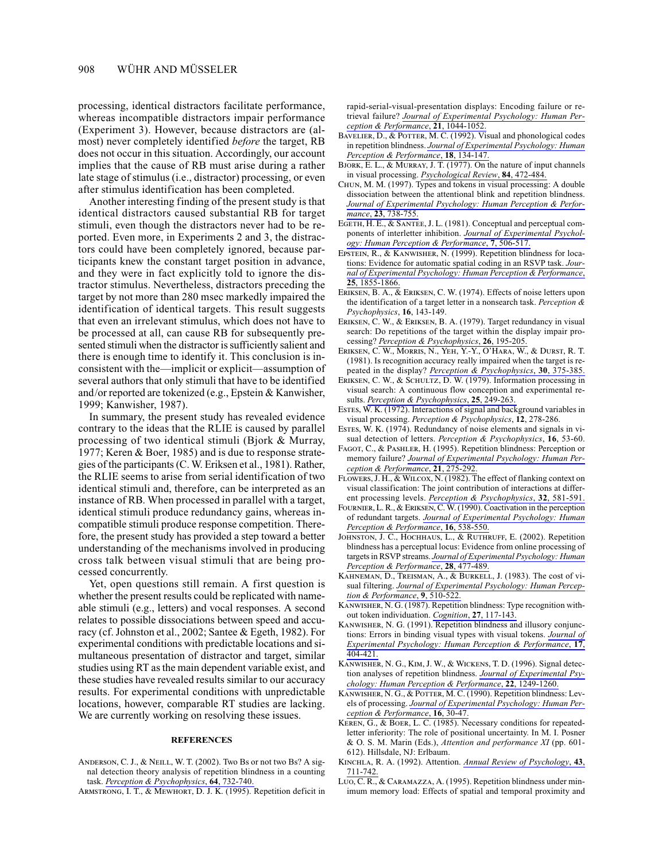processing, identical distractors facilitate performance, whereas incompatible distractors impair performance (Experiment 3). However, because distractors are (almost) never completely identified *before* the target, RB does not occur in this situation. Accordingly, our account implies that the cause of RB must arise during a rather late stage of stimulus (i.e., distractor) processing, or even after stimulus identification has been completed.

Another interesting finding of the present study is that identical distractors caused substantial RB for target stimuli, even though the distractors never had to be reported. Even more, in Experiments 2 and 3, the distractors could have been completely ignored, because participants knew the constant target position in advance, and they were in fact explicitly told to ignore the distractor stimulus. Nevertheless, distractors preceding the target by not more than 280 msec markedly impaired the identification of identical targets. This result suggests that even an irrelevant stimulus, which does not have to be processed at all, can cause RB for subsequently presented stimuli when the distractor is sufficiently salient and there is enough time to identify it. This conclusion is inconsistent with the—implicit or explicit—assumption of several authors that only stimuli that have to be identified and/or reported are tokenized (e.g., Epstein & Kanwisher, 1999; Kanwisher, 1987).

In summary, the present study has revealed evidence contrary to the ideas that the RLIE is caused by parallel processing of two identical stimuli (Bjork & Murray, 1977; Keren & Boer, 1985) and is due to response strategies of the participants (C. W. Eriksen et al., 1981). Rather, the RLIE seems to arise from serial identification of two identical stimuli and, therefore, can be interpreted as an instance of RB. When processed in parallel with a target, identical stimuli produce redundancy gains, whereas incompatible stimuli produce response competition. Therefore, the present study has provided a step toward a better understanding of the mechanisms involved in producing cross talk between visual stimuli that are being processed concurrently.

Yet, open questions still remain. A first question is whether the present results could be replicated with nameable stimuli (e.g., letters) and vocal responses. A second relates to possible dissociations between speed and accuracy (cf. Johnston et al., 2002; Santee & Egeth, 1982). For experimental conditions with predictable locations and simultaneous presentation of distractor and target, similar studies using RT as the main dependent variable exist, and these studies have revealed results similar to our accuracy results. For experimental conditions with unpredictable locations, however, comparable RT studies are lacking. We are currently working on resolving these issues.

## **REFERENCES**

- ANDERSON, C. J., & NEILL, W. T. (2002). Two Bs or not two Bs? A signal detection theory analysis of repetition blindness in a counting task. Perception & Psychophysics, 64, 732-740.
- ARMSTRONG, I. T., & MEWHORT, D. J. K. (1995). Repetition deficit in

rapid-serial-visual-presentation displays: Encoding failure or retrieval failure? Journal of Experimental Psychology: Human Perception & Performance, 21, 1044-1052.

- BAVELIER, D., & POTTER, M. C. (1992). Visual and phonological codes in repetition blindness. Journal of Experimental Psychology: Human Perception & Performance, 18, 134-147.
- BJORK, E. L., & MURRAY, J. T. (1977). On the nature of input channels in visual processing. Psychological Review, 84, 472-484.
- CHUN, M. M. (1997). Types and tokens in visual processing: A double dissociation between the attentional blink and repetition blindness. Journal of Experimental Psychology: Human Perception & Performance, 23, 738-755.
- EGETH, H. E., & SANTEE, J. L. (1981). Conceptual and perceptual components of interletter inhibition. Journal of Experimental Psychology: Human Perception & Performance, 7, 506-517.
- EPSTEIN, R., & KANWISHER, N. (1999). Repetition blindness for locations: Evidence for automatic spatial coding in an RSVP task. Journal of Experimental Psychology: Human Perception & Performance, 25, 1855-1866.
- ERIKSEN, B. A., & ERIKSEN, C. W. (1974). Effects of noise letters upon the identification of a target letter in a nonsearch task. Perception & Psychophysics, 16, 143-149.
- ERIKSEN, C. W., & ERIKSEN, B. A. (1979). Target redundancy in visual search: Do repetitions of the target within the display impair processing? Perception & Psychophysics, 26, 195-205.
- ERIKSEN, C. W., MORRIS, N., YEH, Y.-Y., O'HARA, W., & DURST, R. T. (1981). Is recognition accuracy really impaired when the target is repeated in the display? Perception & Psychophysics, 30, 375-385.
- ERIKSEN, C. W., & SCHULTZ, D. W. (1979). Information processing in visual search: A continuous flow conception and experimental results. Perception & Psychophysics, 25, 249-263.
- ESTES, W. K. (1972). Interactions of signal and background variables in visual processing. Perception & Psychophysics, 12, 278-286.
- ESTES, W. K. (1974). Redundancy of noise elements and signals in visual detection of letters. Perception & Psychophysics, 16, 53-60.
- FAGOT, C., & PASHLER, H. (1995). Repetition blindness: Perception or memory failure? Journal of Experimental Psychology: Human Perception & Performance, 21, 275-292.
- FLOWERS, J. H., & WILCOX, N. (1982). The effect of flanking context on visual classification: The joint contribution of interactions at different processing levels. Perception & Psychophysics, 32, 581-591.
- FOURNIER, L. R., & ERIKSEN, C. W. (1990). Coactivation in the perception of redundant targets. Journal of Experimental Psychology: Human Perception & Performance, 16, 538-550.
- JOHNSTON, J. C., HOCHHAUS, L., & RUTHRUFF, E. (2002). Repetition blindness has a perceptual locus: Evidence from online processing of targets in RSVP streams. Journal of Experimental Psychology: Human Perception & Performance, 28, 477-489.
- KAHNEMAN, D., TREISMAN, A., & BURKELL, J. (1983). The cost of visual filtering. Journal of Experimental Psychology: Human Perception & Performance, 9, 510-522.
- KANWISHER, N. G. (1987). Repetition blindness: Type recognition without token individuation. Cognition, 27, 117-143.
- KANWISHER, N. G. (1991). Repetition blindness and illusory conjunctions: Errors in binding visual types with visual tokens. Journal of Experimental Psychology: Human Perception & Performance, 17, 404-421.
- KANWISHER, N. G., KIM, J. W., & WICKENS, T. D. (1996). Signal detection analyses of repetition blindness. Journal of Experimental Psychology: Human Perception & Performance, 22, 1249-1260.
- KANWISHER, N. G., & POTTER, M. C. (1990). Repetition blindness: Levels of processing. Journal of Experimental Psychology: Human Perception & Performance, 16, 30-47.
- KEREN, G., & BOER, L. C. (1985). Necessary conditions for repeatedletter inferiority: The role of positional uncertainty. In M. I. Posner & O. S. M. Marin (Eds.), Attention and performance XI (pp. 601-612). Hillsdale, NJ: Erlbaum.
- KINCHLA, R. A. (1992). Attention. Annual Review of Psychology, 43, 711-742.
- LUO, C. R., & CARAMAZZA, A. (1995). Repetition blindness under minimum memory load: Effects of spatial and temporal proximity and